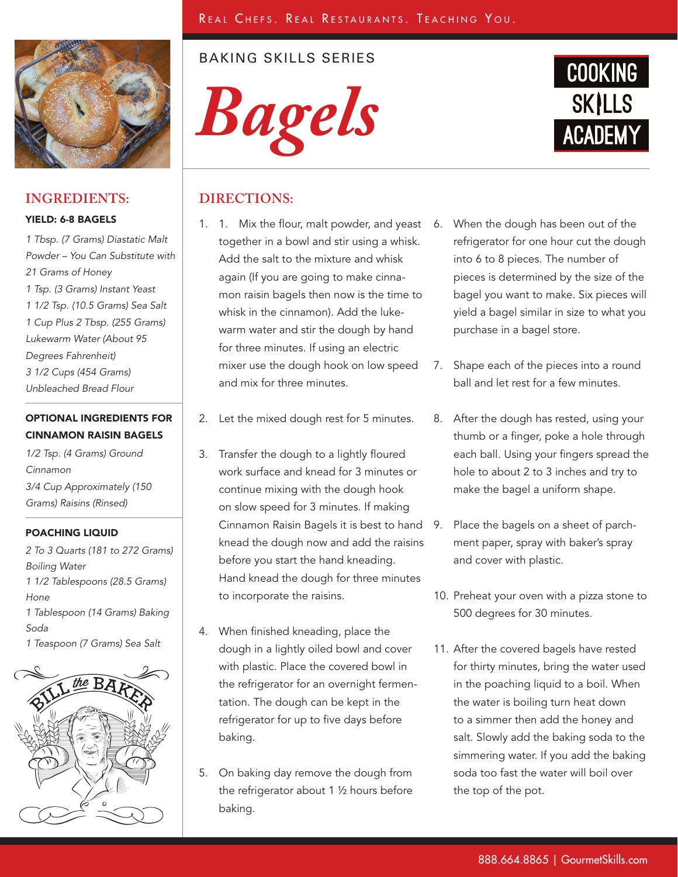

## **INGREDIENTS:**

#### YIELD: 6-8 BAGELS

*1 Tbsp. (7 Grams) Diastatic Malt Powder – You Can Substitute with 21 Grams of Honey 1 Tsp. (3 Grams) Instant Yeast 1 1/2 Tsp. (10.5 Grams) Sea Salt 1 Cup Plus 2 Tbsp. (255 Grams) Lukewarm Water (About 95 Degrees Fahrenheit) 3 1/2 Cups (454 Grams) Unbleached Bread Flour*

# OPTIONAL INGREDIENTS FOR CINNAMON RAISIN BAGELS

*1/2 Tsp. (4 Grams) Ground Cinnamon 3/4 Cup Approximately (150 Grams) Raisins (Rinsed)*

### POACHING LIQUID

*2 To 3 Quarts (181 to 272 Grams) Boiling Water 1 1/2 Tablespoons (28.5 Grams) Hone 1 Tablespoon (14 Grams) Baking Soda 1 Teaspoon (7 Grams) Sea Salt*



# BAKING SKILLS SERIES





# **DIRECTIONS:**

- 1. 1. Mix the flour, malt powder, and yeast together in a bowl and stir using a whisk. Add the salt to the mixture and whisk again (If you are going to make cinnamon raisin bagels then now is the time to whisk in the cinnamon). Add the lukewarm water and stir the dough by hand for three minutes. If using an electric mixer use the dough hook on low speed and mix for three minutes.
- 2. Let the mixed dough rest for 5 minutes.
- 3. Transfer the dough to a lightly floured work surface and knead for 3 minutes or continue mixing with the dough hook on slow speed for 3 minutes. If making Cinnamon Raisin Bagels it is best to hand knead the dough now and add the raisins before you start the hand kneading. Hand knead the dough for three minutes to incorporate the raisins.
- 4. When finished kneading, place the dough in a lightly oiled bowl and cover with plastic. Place the covered bowl in the refrigerator for an overnight fermentation. The dough can be kept in the refrigerator for up to five days before baking.
- 5. On baking day remove the dough from the refrigerator about 1 ½ hours before baking.
- 6. When the dough has been out of the refrigerator for one hour cut the dough into 6 to 8 pieces. The number of pieces is determined by the size of the bagel you want to make. Six pieces will yield a bagel similar in size to what you purchase in a bagel store.
- 7. Shape each of the pieces into a round ball and let rest for a few minutes.
- 8. After the dough has rested, using your thumb or a finger, poke a hole through each ball. Using your fingers spread the hole to about 2 to 3 inches and try to make the bagel a uniform shape.
- Place the bagels on a sheet of parchment paper, spray with baker's spray and cover with plastic.
- 10. Preheat your oven with a pizza stone to 500 degrees for 30 minutes.
- 11. After the covered bagels have rested for thirty minutes, bring the water used in the poaching liquid to a boil. When the water is boiling turn heat down to a simmer then add the honey and salt. Slowly add the baking soda to the simmering water. If you add the baking soda too fast the water will boil over the top of the pot.